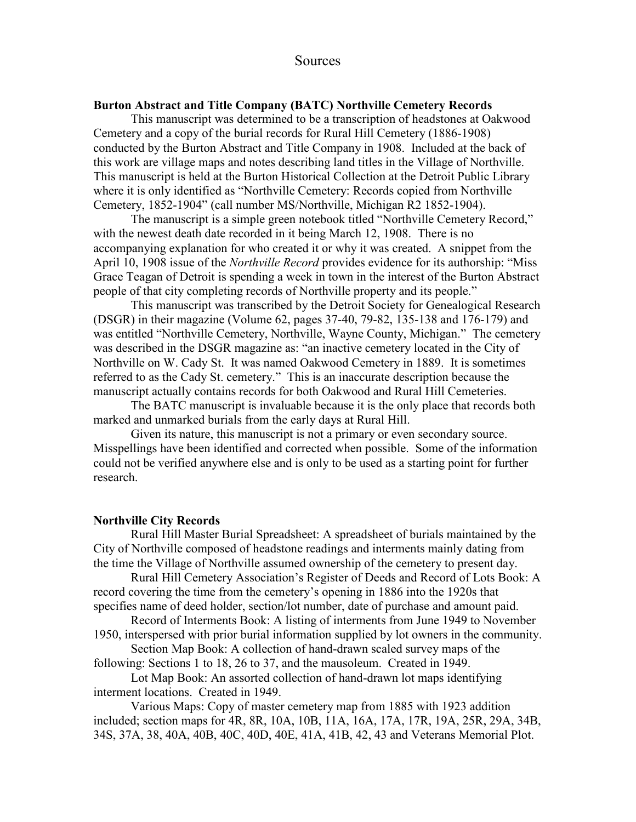## Sources

#### **Burton Abstract and Title Company (BATC) Northville Cemetery Records**

 This manuscript was determined to be a transcription of headstones at Oakwood Cemetery and a copy of the burial records for Rural Hill Cemetery (1886-1908) conducted by the Burton Abstract and Title Company in 1908. Included at the back of this work are village maps and notes describing land titles in the Village of Northville. This manuscript is held at the Burton Historical Collection at the Detroit Public Library where it is only identified as "Northville Cemetery: Records copied from Northville Cemetery, 1852-1904" (call number MS/Northville, Michigan R2 1852-1904).

 The manuscript is a simple green notebook titled "Northville Cemetery Record," with the newest death date recorded in it being March 12, 1908. There is no accompanying explanation for who created it or why it was created. A snippet from the April 10, 1908 issue of the *Northville Record* provides evidence for its authorship: "Miss Grace Teagan of Detroit is spending a week in town in the interest of the Burton Abstract people of that city completing records of Northville property and its people."

 This manuscript was transcribed by the Detroit Society for Genealogical Research (DSGR) in their magazine (Volume 62, pages 37-40, 79-82, 135-138 and 176-179) and was entitled "Northville Cemetery, Northville, Wayne County, Michigan." The cemetery was described in the DSGR magazine as: "an inactive cemetery located in the City of Northville on W. Cady St. It was named Oakwood Cemetery in 1889. It is sometimes referred to as the Cady St. cemetery." This is an inaccurate description because the manuscript actually contains records for both Oakwood and Rural Hill Cemeteries.

 The BATC manuscript is invaluable because it is the only place that records both marked and unmarked burials from the early days at Rural Hill.

Given its nature, this manuscript is not a primary or even secondary source. Misspellings have been identified and corrected when possible. Some of the information could not be verified anywhere else and is only to be used as a starting point for further research.

#### **Northville City Records**

 Rural Hill Master Burial Spreadsheet: A spreadsheet of burials maintained by the City of Northville composed of headstone readings and interments mainly dating from the time the Village of Northville assumed ownership of the cemetery to present day.

 Rural Hill Cemetery Association's Register of Deeds and Record of Lots Book: A record covering the time from the cemetery's opening in 1886 into the 1920s that specifies name of deed holder, section/lot number, date of purchase and amount paid.

 Record of Interments Book: A listing of interments from June 1949 to November 1950, interspersed with prior burial information supplied by lot owners in the community.

 Section Map Book: A collection of hand-drawn scaled survey maps of the following: Sections 1 to 18, 26 to 37, and the mausoleum. Created in 1949.

 Lot Map Book: An assorted collection of hand-drawn lot maps identifying interment locations. Created in 1949.

Various Maps: Copy of master cemetery map from 1885 with 1923 addition included; section maps for 4R, 8R, 10A, 10B, 11A, 16A, 17A, 17R, 19A, 25R, 29A, 34B, 34S, 37A, 38, 40A, 40B, 40C, 40D, 40E, 41A, 41B, 42, 43 and Veterans Memorial Plot.